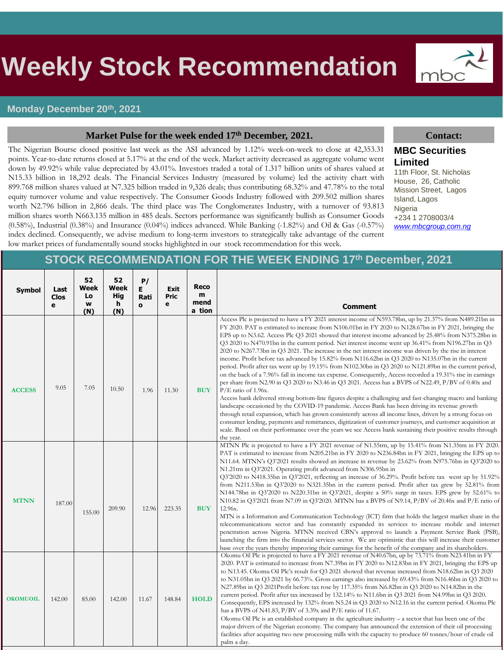# s **Weekly Stock Recommendation**

#### **Monday December 20th, 2021**

#### **Market Pulse for the week ended 17th December, 2021. Contact:**

The Nigerian Bourse closed positive last week as the ASI advanced by 1.12% week-on-week to close at 42,353.31 points. Year-to-date returns closed at 5.17% at the end of the week. Market activity decreased as aggregate volume went down by 49.92% while value depreciated by 43.01%. Investors traded a total of 1.317 billion units of shares valued at N15.33 billion in 18,292 deals. The Financial Services Industry (measured by volume) led the activity chart with 899.768 million shares valued at N7.325 billion traded in 9,326 deals; thus contributing 68.32% and 47.78% to the total equity turnover volume and value respectively. The Consumer Goods Industry followed with 209.502 million shares worth N2.796 billion in 2,866 deals. The third place was The Conglomerates Industry, with a turnover of 93.813 million shares worth N663.135 million in 485 deals. Sectors performance was significantly bullish as Consumer Goods  $(0.58\%)$ , Industrial  $(0.38\%)$  and Insurance  $(0.04\%)$  indices advanced. While Banking  $(-1.82\%)$  and Oil & Gas  $(-0.57\%)$ index declined. Consequently, we advise medium to long-term investors to strategically take advantage of the current



#### **MBC Securities Limited**

11th Floor, St. Nicholas House, 26, Catholic Mission Street, Lagos Island, Lagos Nigeria +234 1 2708003/4 *[www.mbcgroup.com.ng](http://www.mbcgroup.com.ng/)*

# low market prices of fundamentally sound stocks highlighted in our stock recommendation for this week.

### **STOCK RECOMMENDATION FOR THE WEEK ENDING 17th December, 2021**

| Symbol          | Last<br><b>Clos</b><br>e | 52<br>Week<br>Lo<br>W<br>(N) | 52<br>Week<br>Hig<br>h<br>(N) | P/<br>Е<br>Rati<br>$\mathbf{o}$ | Exit<br><b>Pric</b><br>e | Reco<br>m<br>mend<br>a tion | <b>Comment</b>                                                                                                                                                                                                                                                                                                                                                                                                                                                                                                                                                                                                                                                                                                                                                                                                                                                                                                                                                                                                                                                                                                                                                                                                                                                                                                                                                                                                                                                                                                                                                                          |
|-----------------|--------------------------|------------------------------|-------------------------------|---------------------------------|--------------------------|-----------------------------|-----------------------------------------------------------------------------------------------------------------------------------------------------------------------------------------------------------------------------------------------------------------------------------------------------------------------------------------------------------------------------------------------------------------------------------------------------------------------------------------------------------------------------------------------------------------------------------------------------------------------------------------------------------------------------------------------------------------------------------------------------------------------------------------------------------------------------------------------------------------------------------------------------------------------------------------------------------------------------------------------------------------------------------------------------------------------------------------------------------------------------------------------------------------------------------------------------------------------------------------------------------------------------------------------------------------------------------------------------------------------------------------------------------------------------------------------------------------------------------------------------------------------------------------------------------------------------------------|
| <b>ACCESS</b>   | 9.05                     | 7.05                         | 10.50                         | 1.96                            | 11.30                    | <b>BUY</b>                  | Access Plc is projected to have a FY 2021 interest income of N593.78bn, up by 21.37% from N489.21bn in<br>FY 2020. PAT is estimated to increase from N106.01bn in FY 2020 to N128.67bn in FY 2021, bringing the<br>EPS up to N3.62. Access Plc Q3 2021 showed that interest income advanced by 25.48% from N375.28bn in<br>Q3 2020 to N470.91bn in the current period. Net interest income went up 36.41% from N196.27bn in Q3<br>2020 to N267.73bn in Q3 2021. The increase in the net interest income was driven by the rise in interest<br>income. Profit before tax advanced by 15.82% from N116.62bn in Q3 2020 to N135.07bn in the current<br>period. Profit after tax went up by 19.15% from N102.30bn in Q3 2020 to N121.89bn in the current period,<br>on the back of a 7.96% fall in income tax expense. Consequently, Access recorded a 19.31% rise in earnings<br>per share from N2.90 in Q3 2020 to N3.46 in Q3 2021. Access has a BVPS of N22.49, $P/BV$ of 0.40x and<br>$P/E$ ratio of 1.96x.<br>Access bank delivered strong bottom-line figures despite a challenging and fast-changing macro and banking<br>landscape occasioned by the COVID-19 pandemic. Access Bank has been driving its revenue growth<br>through retail expansion, which has grown consistently across all income lines, driven by a strong focus on<br>consumer lending, payments and remittances, digitization of customer journeys, and customer acquisition at<br>scale. Based on their performance over the years we see Access bank sustaining their positive results through<br>the year. |
| <b>MTNN</b>     | 187.00                   | 155.00                       | 209.90                        | 12.96                           | 223.35                   | <b>BUY</b>                  | MTNN Plc is projected to have a FY 2021 revenue of N1.55trn, up by 15.41% from N1.35trn in FY 2020.<br>PAT is estimated to increase from N205.21bn in FY 2020 to N236.84bn in FY 2021, bringing the EPS up to<br>N11.64. MTNN's Q3'2021 results showed an increase in revenue by 23.62% from N975.76bn in Q3'2020 to<br>N1.21trn in Q3'2021. Operating profit advanced from N306.95bn in<br>$Q32020$ to N418.35bn in $Q32021$ , reflecting an increase of 36.29%. Profit before tax went up by 51.92%<br>from N211.53bn in Q3'2020 to N321.35bn in the current period. Profit after tax grew by 52.81% from<br>N144.78bn in Q3'2020 to N220.31bn in Q3'2021, despite a 50% surge in taxes. EPS grew by 52.61% to<br>N10.82 in Q3'2021 from N7.09 in Q3'2020. MTNN has a BVPS of N9.14, P/BV of 20.46x and P/E ratio of<br>12.96x.<br>MTN is a Information and Communication Technology (ICT) firm that holds the largest market share in the<br>telecommunications sector and has constantly expanded its services to increase mobile and internet<br>penetration across Nigeria. MTNN received CBN's approval to launch a Payment Service Bank (PSB),<br>launching the firm into the financial services sector. We are optimistic that this will increase their customer<br>base over the years thereby improving their earnings for the benefit of the company and its shareholders.                                                                                                                                                                                                  |
| <b>OKOMUOIL</b> | 142.00                   | 85.00                        | 142.00                        | 11.67                           | 148.84                   | <b>HOLD</b>                 | Okomu Oil Plc is projected to have a FY 2021 revenue of N40.67bn, up by 73.71% from N23.41bn in FY<br>2020. PAT is estimated to increase from N7.39bn in FY 2020 to N12.83bn in FY 2021, bringing the EPS up<br>to N13.45. Okomu Oil Plc's result for Q3 2021 showed that revenue increased from N18.62bn in Q3 2020<br>to N31.05bn in Q3 2021 by 66.73%. Gross earnings also increased by 69.43% from N16.46bn in Q3 2020 to<br>N27.89bn in Q3 2021Profit before tax rose by 117.35% from N6.82bn in Q3 2020 to N14.82bn in the<br>current period. Profit after tax increased by 132.14% to N11.6bn in Q3 2021 from N4.99bn in Q3 2020.<br>Consequently, EPS increased by 132% from N5.24 in Q3 2020 to N12.16 in the current period. Okomu Plc<br>has a BVPS of N41.83, $P/BV$ of 3.39x and $P/E$ ratio of 11.67.<br>Okomu Oil Plc is an established company in the agriculture industry $-$ a sector that has been one of the<br>major drivers of the Nigerian economy. The company has announced the extension of their oil processing<br>facilities after acquiring two new processing mills with the capacity to produce 60 tonnes/hour of crude oil<br>palm a day.                                                                                                                                                                                                                                                                                                                                                                                                               |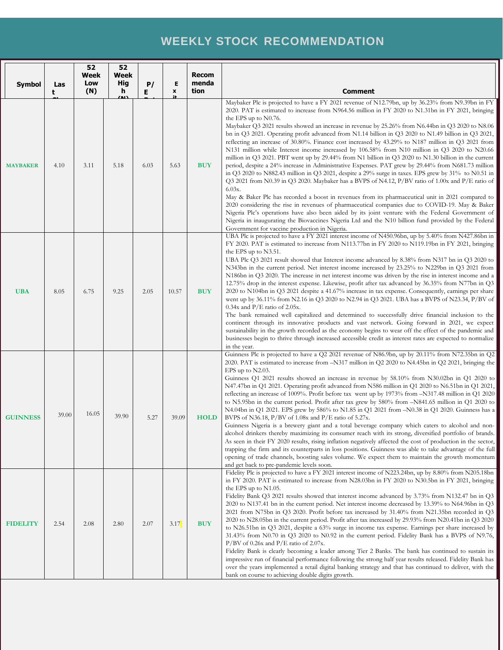# **WEEKLY STOCK RECOMMENDATION**

| Symbol          | Las<br>t | 52<br>Week<br>Low<br>(N) | 52<br>Week<br><b>Hig</b><br>h | P/<br>E | Е<br>$\pmb{\mathsf{x}}$ | <b>Recom</b><br>menda<br>tion | <b>Comment</b>                                                                                                                                                                                                                                                                                                                                                                                                                                                                                                                                                                                                                                                                                                                                                                                                                                                                                                                                                                                                                                                                                                                                                                                                                                                                                                                                                                                                                                                                                                                                                       |
|-----------------|----------|--------------------------|-------------------------------|---------|-------------------------|-------------------------------|----------------------------------------------------------------------------------------------------------------------------------------------------------------------------------------------------------------------------------------------------------------------------------------------------------------------------------------------------------------------------------------------------------------------------------------------------------------------------------------------------------------------------------------------------------------------------------------------------------------------------------------------------------------------------------------------------------------------------------------------------------------------------------------------------------------------------------------------------------------------------------------------------------------------------------------------------------------------------------------------------------------------------------------------------------------------------------------------------------------------------------------------------------------------------------------------------------------------------------------------------------------------------------------------------------------------------------------------------------------------------------------------------------------------------------------------------------------------------------------------------------------------------------------------------------------------|
| <b>MAYBAKER</b> | 4.10     | 3.11                     | <u>(M)</u><br>5.18            | 6.03    | 5.63                    | <b>BUY</b>                    | Maybaker Plc is projected to have a FY 2021 revenue of N12.79bn, up by 36.23% from N9.39bn in FY<br>2020. PAT is estimated to increase from N964.56 million in FY 2020 to N1.31bn in FY 2021, bringing<br>the EPS up to N0.76.<br>Maybaker Q3 2021 results showed an increase in revenue by 25.26% from N6.44bn in Q3 2020 to N8.06<br>bn in Q3 2021. Operating profit advanced from N1.14 billion in Q3 2020 to N1.49 billion in Q3 2021,<br>reflecting an increase of 30.80%. Finance cost increased by 43.29% to N187 million in Q3 2021 from<br>N131 million while Interest income increased by 106.58% from N10 million in Q3 2020 to N20.66<br>million in Q3 2021. PBT went up by 29.44% from N1 billion in Q3 2020 to N1.30 billion in the current<br>period, despite a 24% increase in Administrative Expenses. PAT grew by 29.44% from N681.73 million<br>in Q3 2020 to N882.43 million in Q3 2021, despite a 29% surge in taxes. EPS grew by $31\%$ to N0.51 in<br>Q3 2021 from N0.39 in Q3 2020. Maybaker has a BVPS of N4.12, $P/BV$ ratio of 1.00x and $P/E$ ratio of<br>$6.03x$ .<br>May & Baker Plc has recorded a boost in revenues from its pharmaceutical unit in 2021 compared to<br>2020 considering the rise in revenues of pharmaceutical companies due to COVID-19. May & Baker<br>Nigeria Plc's operations have also been aided by its joint venture with the Federal Government of<br>Nigeria in inaugurating the Biovaccines Nigeria Ltd and the N10 billion fund provided by the Federal<br>Government for vaccine production in Nigeria. |
| <b>UBA</b>      | 8.05     | 6.75                     | 9.25                          | 2.05    | 10.57                   | <b>BUY</b>                    | UBA Plc is projected to have a FY 2021 interest income of N450.96bn, up by 5.40% from N427.86bn in<br>FY 2020. PAT is estimated to increase from N113.77bn in FY 2020 to N119.19bn in FY 2021, bringing<br>the EPS up to N3.51.<br>UBA Plc Q3 2021 result showed that Interest income advanced by 8.38% from N317 bn in Q3 2020 to<br>N343bn in the current period. Net interest income increased by 23.25% to N229bn in Q3 2021 from<br>N186bn in Q3 2020. The increase in net interest income was driven by the rise in interest income and a<br>12.75% drop in the interest expense. Likewise, profit after tax advanced by 36.35% from N77bn in Q3<br>2020 to N104bn in Q3 2021 despite a 41.67% increase in tax expense. Consequently, earnings per share<br>went up by 36.11% from N2.16 in Q3 2020 to N2.94 in Q3 2021. UBA has a BVPS of N23.34, P/BV of<br>$0.34x$ and P/E ratio of 2.05x.<br>The bank remained well capitalized and determined to successfully drive financial inclusion to the<br>continent through its innovative products and vast network. Going forward in 2021, we expect<br>sustainability in the growth recorded as the economy begins to wear off the effect of the pandemic and<br>businesses begin to thrive through increased accessible credit as interest rates are expected to normalize<br>in the year.                                                                                                                                                                                                                    |
| <b>GUINNESS</b> | 39.00    | 16.05                    | 39.90                         | 5.27    | 39.09                   | <b>HOLD</b>                   | Guinness Plc is projected to have a Q2 2021 revenue of N86.9bn, up by 20.11% from N72.35bn in Q2<br>2020. PAT is estimated to increase from -N317 million in Q2 2020 to N4.45bn in Q2 2021, bringing the<br>EPS up to $N2.03$ .<br>Guinness Q1 2021 results showed an increase in revenue by 58.10% from N30.02bn in Q1 2020 to<br>N47.47bn in Q1 2021. Operating profit advanced from N586 million in Q1 2020 to N6.51bn in Q1 2021,<br>reflecting an increase of 1009%. Profit before tax went up by 1973% from -N317.48 million in Q1 2020<br>to N5.95bn in the current period. Profit after tax grew by 580% from $-N841.65$ million in Q1 2020 to<br>N4.04bn in Q1 2021. EPS grew by 586% to N1.85 in Q1 2021 from -N0.38 in Q1 2020. Guinness has a<br>BVPS of N36.18, P/BV of 1.08x and P/E ratio of 5.27x.<br>Guinness Nigeria is a brewery giant and a total beverage company which caters to alcohol and non-<br>alcohol drinkers thereby maximizing its consumer reach with its strong, diversified portfolio of brands.<br>As seen in their FY 2020 results, rising inflation negatively affected the cost of production in the sector,<br>trapping the firm and its counterparts in loss positions. Guinness was able to take advantage of the full<br>opening of trade channels, boosting sales volume. We expect them to maintain the growth momentum<br>and get back to pre-pandemic levels soon.                                                                                                                                                    |
| <b>FIDELITY</b> | 2.54     | 2.08                     | 2.80                          | 2.07    | 3.17                    | <b>BUY</b>                    | Fidelity Plc is projected to have a FY 2021 interest income of N223.24bn, up by 8.80% from N205.18bn<br>in FY 2020. PAT is estimated to increase from N28.03bn in FY 2020 to N30.5bn in FY 2021, bringing<br>the EPS up to $N1.05$ .<br>Fidelity Bank Q3 2021 results showed that interest income advanced by 3.73% from N132.47 bn in Q3<br>2020 to N137.41 bn in the current period. Net interest income decreased by 13.39% to N64.96bn in Q3<br>2021 from N75bn in Q3 2020. Profit before tax increased by 31.40% from N21.35bn recorded in Q3<br>2020 to N28.05bn in the current period. Profit after tax increased by 29.93% from N20.41bn in Q3 2020<br>to N26.51bn in Q3 2021, despite a 63% surge in income tax expense. Earnings per share increased by<br>31.43% from N0.70 in Q3 2020 to N0.92 in the current period. Fidelity Bank has a BVPS of N9.76,<br>$P/BV$ of 0.26x and $P/E$ ratio of 2.07x.<br>Fidelity Bank is clearly becoming a leader among Tier 2 Banks. The bank has continued to sustain its<br>impressive run of financial performance following the strong half year results released. Fidelity Bank has<br>over the years implemented a retail digital banking strategy and that has continued to deliver, with the<br>bank on course to achieving double digits growth.                                                                                                                                                                                                                                                             |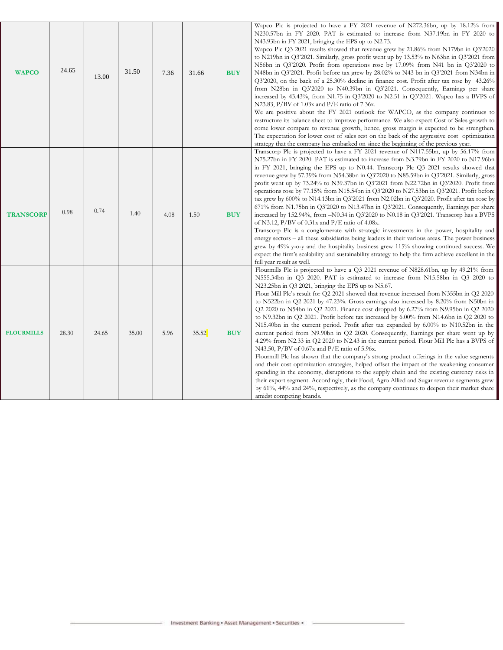| <b>WAPCO</b>      | 24.65 | 13.00 | 31.50 | 7.36 | 31.66 | <b>BUY</b> | Wapco Plc is projected to have a FY 2021 revenue of N272.36bn, up by 18.12% from<br>N230.57bn in FY 2020. PAT is estimated to increase from N37.19bn in FY 2020 to<br>N43.93bn in FY 2021, bringing the EPS up to N2.73.<br>Wapco Plc Q3 2021 results showed that revenue grew by 21.86% from N179bn in Q3'2020<br>to N219bn in Q3'2021. Similarly, gross profit went up by 13.53% to N63bn in Q3'2021 from<br>N56bn in Q3'2020. Profit from operations rose by $17.09\%$ from N41 bn in Q3'2020 to<br>N48bn in Q3'2021. Profit before tax grew by 28.02% to N43 bn in Q3'2021 from N34bn in<br>Q3'2020, on the back of a 25.30% decline in finance cost. Profit after tax rose by 43.26%<br>from N28bn in Q3'2020 to N40.39bn in Q3'2021. Consequently, Earnings per share<br>increased by $43.43\%$ , from N1.75 in Q3'2020 to N2.51 in Q3'2021. Wapco has a BVPS of<br>N23.83, P/BV of $1.03x$ and P/E ratio of 7.36x.<br>We are positive about the FY 2021 outlook for WAPCO, as the company continues to<br>restructure its balance sheet to improve performance. We also expect Cost of Sales growth to<br>come lower compare to revenue growth, hence, gross margin is expected to be strengthen.<br>The expectation for lower cost of sales rest on the back of the aggressive cost optimization<br>strategy that the company has embarked on since the beginning of the previous year.                                                  |  |
|-------------------|-------|-------|-------|------|-------|------------|--------------------------------------------------------------------------------------------------------------------------------------------------------------------------------------------------------------------------------------------------------------------------------------------------------------------------------------------------------------------------------------------------------------------------------------------------------------------------------------------------------------------------------------------------------------------------------------------------------------------------------------------------------------------------------------------------------------------------------------------------------------------------------------------------------------------------------------------------------------------------------------------------------------------------------------------------------------------------------------------------------------------------------------------------------------------------------------------------------------------------------------------------------------------------------------------------------------------------------------------------------------------------------------------------------------------------------------------------------------------------------------------------------------------------------------------------|--|
| <b>TRANSCORP</b>  | 0.98  | 0.74  | 1.40  | 4.08 | 1.50  | <b>BUY</b> | Transcorp Plc is projected to have a FY 2021 revenue of N117.55bn, up by 56.17% from<br>N75.27bn in FY 2020. PAT is estimated to increase from N3.79bn in FY 2020 to N17.96bn<br>in FY 2021, bringing the EPS up to N0.44. Transcorp Plc Q3 2021 results showed that<br>revenue grew by 57.39% from N54.38bn in Q3'2020 to N85.59bn in Q3'2021. Similarly, gross<br>profit went up by 73.24% to N39.37bn in Q3'2021 from N22.72bn in Q3'2020. Profit from<br>operations rose by 77.15% from N15.54bn in Q3'2020 to N27.53bn in Q3'2021. Profit before<br>tax grew by $600\%$ to N14.13bn in Q3'2021 from N2.02bn in Q3'2020. Profit after tax rose by<br>$671\%$ from N1.75bn in Q3'2020 to N13.47bn in Q3'2021. Consequently, Earnings per share<br>increased by 152.94%, from $-N0.34$ in Q3'2020 to N0.18 in Q3'2021. Transcorp has a BVPS<br>of N3.12, $P/BV$ of 0.31x and $P/E$ ratio of 4.08x.<br>Transcorp Plc is a conglomerate with strategic investments in the power, hospitality and<br>energy sectors – all these subsidiaries being leaders in their various areas. The power business<br>grew by 49% y-o-y and the hospitality business grew 115% showing continued success. We<br>expect the firm's scalability and sustainability strategy to help the firm achieve excellent in the<br>full year result as well.                                                                                                               |  |
| <b>FLOURMILLS</b> | 28.30 | 24.65 | 35.00 | 5.96 | 35.52 | <b>BUY</b> | Flourmills Plc is projected to have a Q3 2021 revenue of N828.61bn, up by 49.21% from<br>N555.34bn in Q3 2020. PAT is estimated to increase from N15.58bn in Q3 2020 to<br>N23.25bn in Q3 2021, bringing the EPS up to N5.67.<br>Flour Mill Plc's result for Q2 2021 showed that revenue increased from N355bn in Q2 2020<br>to N522bn in Q2 2021 by 47.23%. Gross earnings also increased by 8.20% from N50bn in<br>Q2 2020 to N54bn in Q2 2021. Finance cost dropped by 6.27% from N9.95bn in Q2 2020<br>to N9.32bn in Q2 2021. Profit before tax increased by 6.00% from N14.6bn in Q2 2020 to<br>N15.40bn in the current period. Profit after tax expanded by 6.00% to N10.52bn in the<br>current period from N9.90bn in Q2 2020. Consequently, Earnings per share went up by<br>4.29% from N2.33 in Q2 2020 to N2.43 in the current period. Flour Mill Plc has a BVPS of<br>N43.50, P/BV of $0.67x$ and P/E ratio of 5.96x.<br>Flourmill Plc has shown that the company's strong product offerings in the value segments<br>and their cost optimization strategies, helped offset the impact of the weakening consumer<br>spending in the economy, disruptions to the supply chain and the existing currency risks in<br>their export segment. Accordingly, their Food, Agro Allied and Sugar revenue segments grew<br>by 61%, 44% and 24%, respectively, as the company continues to deepen their market share<br>amidst competing brands. |  |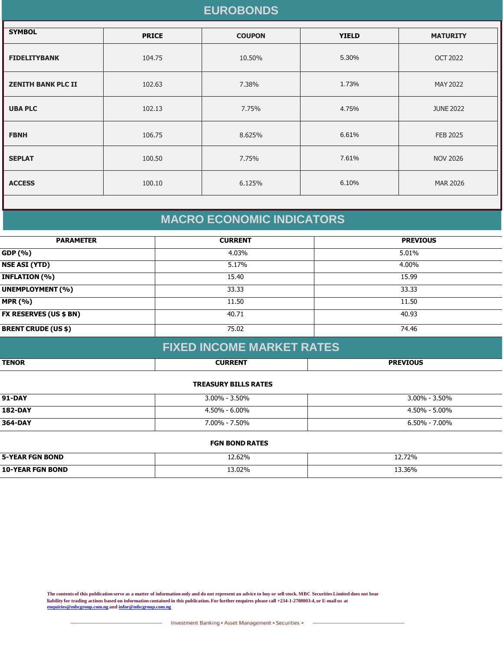## **EUROBONDS**

| <b>SYMBOL</b>             | <b>PRICE</b> | <b>COUPON</b> | <b>YIELD</b> | <b>MATURITY</b>  |
|---------------------------|--------------|---------------|--------------|------------------|
| <b>FIDELITYBANK</b>       | 104.75       | 10.50%        | 5.30%        | <b>OCT 2022</b>  |
| <b>ZENITH BANK PLC II</b> | 102.63       | 7.38%         | 1.73%        | MAY 2022         |
| <b>UBA PLC</b>            | 102.13       | 7.75%         | 4.75%        | <b>JUNE 2022</b> |
| <b>FBNH</b>               | 106.75       | 8.625%        | 6.61%        | <b>FEB 2025</b>  |
| <b>SEPLAT</b>             | 100.50       | 7.75%         | 7.61%        | <b>NOV 2026</b>  |
| <b>ACCESS</b>             | 100.10       | 6.125%        | 6.10%        | <b>MAR 2026</b>  |
|                           |              |               |              |                  |

# **MACRO ECONOMIC INDICATORS**

| <b>PARAMETER</b>              | <b>CURRENT</b> | <b>PREVIOUS</b> |
|-------------------------------|----------------|-----------------|
| GDP (%)                       | 4.03%          | 5.01%           |
| <b>NSE ASI (YTD)</b>          | 5.17%          | 4.00%           |
| <b>INFLATION (%)</b>          | 15.40          | 15.99           |
| <b>UNEMPLOYMENT (%)</b>       | 33.33          | 33.33           |
| <b>MPR (%)</b>                | 11.50          | 11.50           |
| <b>FX RESERVES (US \$ BN)</b> | 40.71          | 40.93           |
| <b>BRENT CRUDE (US \$)</b>    | 75.02          | 74.46           |

# **FIXED INCOME MARKET RATES**

| <b>TENOR</b> | $\begin{array}{c} \hline \textbf{1} & \textbf{1} & \textbf{1} & \textbf{1} & \textbf{1} & \textbf{1} & \textbf{1} & \textbf{1} & \textbf{1} & \textbf{1} & \textbf{1} & \textbf{1} & \textbf{1} & \textbf{1} & \textbf{1} & \textbf{1} & \textbf{1} & \textbf{1} & \textbf{1} & \textbf{1} & \textbf{1} & \textbf{1} & \textbf{1} & \textbf{1} & \textbf{1} & \textbf{1} & \textbf{1} & \textbf{1} & \textbf{1} & \textbf{1} &$ | <b>BBEVTAUS</b> |
|--------------|---------------------------------------------------------------------------------------------------------------------------------------------------------------------------------------------------------------------------------------------------------------------------------------------------------------------------------------------------------------------------------------------------------------------------------|-----------------|
|              |                                                                                                                                                                                                                                                                                                                                                                                                                                 |                 |

#### **TREASURY BILLS RATES**

| <b>91-DAY</b>  | $3.00\%$ - $3.50\%$ | $3.00\%$ - 3.50%  |
|----------------|---------------------|-------------------|
| <b>182-DAY</b> | $4.50\% - 6.00\%$   | $4.50\% - 5.00\%$ |
| 364-DAY        | 7.00% - 7.50%       | $6.50\% - 7.00\%$ |

#### **FGN BOND RATES**

| <b>FGN BOND</b><br>5-YEAF<br>FGN | 2.62% | <b>12.72%</b> |
|----------------------------------|-------|---------------|
| 10-YEAR<br><b>FGN BOND</b>       | 3.02% | 13.36%        |

**The contents of this publication serve as a matter of information only and do not represent an advice to buy or sell stock. MBC Securities Limited does not bear liability for trading actions based on information contained in this publication. For further enquires please call +234-1-2708003-4, or E-mail us at [enquiries@mbcgroup.com.ng](mailto:enquiries@mbcgroup.com.ng) and [infor@mbcgroup.com.ng](mailto:infor@mbcgroup.com.ng)**

Investment Banking . Asset Management . Securities .